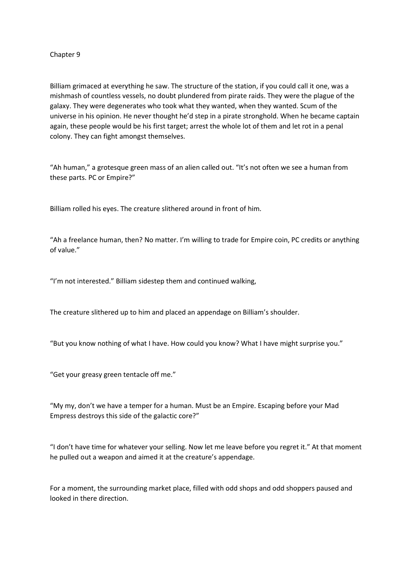## Chapter 9

Billiam grimaced at everything he saw. The structure of the station, if you could call it one, was a mishmash of countless vessels, no doubt plundered from pirate raids. They were the plague of the galaxy. They were degenerates who took what they wanted, when they wanted. Scum of the universe in his opinion. He never thought he'd step in a pirate stronghold. When he became captain again, these people would be his first target; arrest the whole lot of them and let rot in a penal colony. They can fight amongst themselves.

"Ah human," a grotesque green mass of an alien called out. "It's not often we see a human from these parts. PC or Empire?"

Billiam rolled his eyes. The creature slithered around in front of him.

"Ah a freelance human, then? No matter. I'm willing to trade for Empire coin, PC credits or anything of value."

"I'm not interested." Billiam sidestep them and continued walking,

The creature slithered up to him and placed an appendage on Billiam's shoulder.

"But you know nothing of what I have. How could you know? What I have might surprise you."

"Get your greasy green tentacle off me."

"My my, don't we have a temper for a human. Must be an Empire. Escaping before your Mad Empress destroys this side of the galactic core?"

"I don't have time for whatever your selling. Now let me leave before you regret it." At that moment he pulled out a weapon and aimed it at the creature's appendage.

For a moment, the surrounding market place, filled with odd shops and odd shoppers paused and looked in there direction.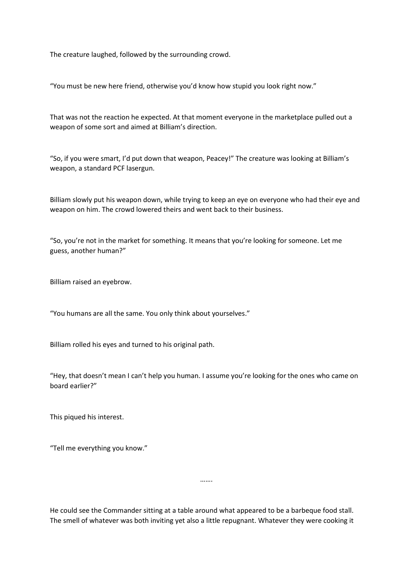The creature laughed, followed by the surrounding crowd.

"You must be new here friend, otherwise you'd know how stupid you look right now."

That was not the reaction he expected. At that moment everyone in the marketplace pulled out a weapon of some sort and aimed at Billiam's direction.

"So, if you were smart, I'd put down that weapon, Peacey!" The creature was looking at Billiam's weapon, a standard PCF lasergun.

Billiam slowly put his weapon down, while trying to keep an eye on everyone who had their eye and weapon on him. The crowd lowered theirs and went back to their business.

"So, you're not in the market for something. It means that you're looking for someone. Let me guess, another human?"

Billiam raised an eyebrow.

"You humans are all the same. You only think about yourselves."

Billiam rolled his eyes and turned to his original path.

"Hey, that doesn't mean I can't help you human. I assume you're looking for the ones who came on board earlier?"

This piqued his interest.

"Tell me everything you know."

He could see the Commander sitting at a table around what appeared to be a barbeque food stall. The smell of whatever was both inviting yet also a little repugnant. Whatever they were cooking it

…….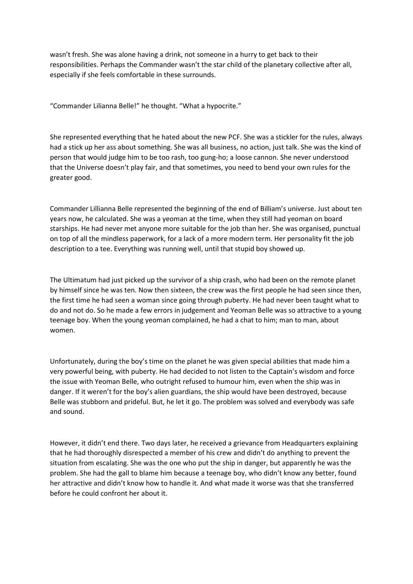wasn't fresh. She was alone having a drink, not someone in a hurry to get back to their responsibilities. Perhaps the Commander wasn't the star child of the planetary collective after all, especially if she feels comfortable in these surrounds.

"Commander Lilianna Belle!" he thought. "What a hypocrite."

She represented everything that he hated about the new PCF. She was a stickler for the rules, always had a stick up her ass about something. She was all business, no action, just talk. She was the kind of person that would judge him to be too rash, too gung-ho; a loose cannon. She never understood that the Universe doesn't play fair, and that sometimes, you need to bend your own rules for the greater good.

Commander Lillianna Belle represented the beginning of the end of Billiam's universe. Just about ten years now, he calculated. She was a yeoman at the time, when they still had yeoman on board starships. He had never met anyone more suitable for the job than her. She was organised, punctual on top of all the mindless paperwork, for a lack of a more modern term. Her personality fit the job description to a tee. Everything was running well, until that stupid boy showed up.

The Ultimatum had just picked up the survivor of a ship crash, who had been on the remote planet by himself since he was ten. Now then sixteen, the crew was the first people he had seen since then, the first time he had seen a woman since going through puberty. He had never been taught what to do and not do. So he made a few errors in judgement and Yeoman Belle was so attractive to a young teenage boy. When the young yeoman complained, he had a chat to him; man to man, about women.

Unfortunately, during the boy's time on the planet he was given special abilities that made him a very powerful being, with puberty. He had decided to not listen to the Captain's wisdom and force the issue with Yeoman Belle, who outright refused to humour him, even when the ship was in danger. If it weren't for the boy's alien guardians, the ship would have been destroyed, because Belle was stubborn and prideful. But, he let it go. The problem was solved and everybody was safe and sound.

However, it didn't end there. Two days later, he received a grievance from Headquarters explaining that he had thoroughly disrespected a member of his crew and didn't do anything to prevent the situation from escalating. She was the one who put the ship in danger, but apparently he was the problem. She had the gall to blame him because a teenage boy, who didn't know any better, found her attractive and didn't know how to handle it. And what made it worse was that she transferred before he could confront her about it.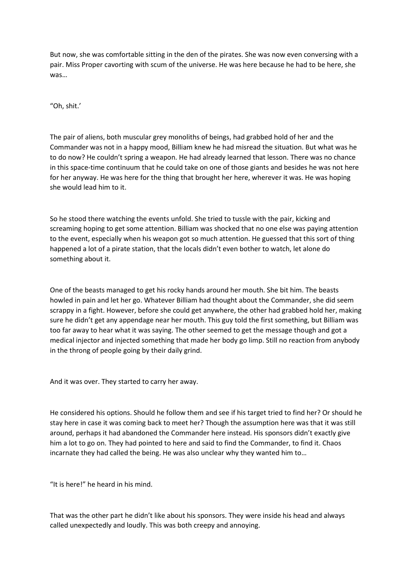But now, she was comfortable sitting in the den of the pirates. She was now even conversing with a pair. Miss Proper cavorting with scum of the universe. He was here because he had to be here, she was…

"Oh, shit.'

The pair of aliens, both muscular grey monoliths of beings, had grabbed hold of her and the Commander was not in a happy mood, Billiam knew he had misread the situation. But what was he to do now? He couldn't spring a weapon. He had already learned that lesson. There was no chance in this space-time continuum that he could take on one of those giants and besides he was not here for her anyway. He was here for the thing that brought her here, wherever it was. He was hoping she would lead him to it.

So he stood there watching the events unfold. She tried to tussle with the pair, kicking and screaming hoping to get some attention. Billiam was shocked that no one else was paying attention to the event, especially when his weapon got so much attention. He guessed that this sort of thing happened a lot of a pirate station, that the locals didn't even bother to watch, let alone do something about it.

One of the beasts managed to get his rocky hands around her mouth. She bit him. The beasts howled in pain and let her go. Whatever Billiam had thought about the Commander, she did seem scrappy in a fight. However, before she could get anywhere, the other had grabbed hold her, making sure he didn't get any appendage near her mouth. This guy told the first something, but Billiam was too far away to hear what it was saying. The other seemed to get the message though and got a medical injector and injected something that made her body go limp. Still no reaction from anybody in the throng of people going by their daily grind.

And it was over. They started to carry her away.

He considered his options. Should he follow them and see if his target tried to find her? Or should he stay here in case it was coming back to meet her? Though the assumption here was that it was still around, perhaps it had abandoned the Commander here instead. His sponsors didn't exactly give him a lot to go on. They had pointed to here and said to find the Commander, to find it. Chaos incarnate they had called the being. He was also unclear why they wanted him to…

"It is here!" he heard in his mind.

That was the other part he didn't like about his sponsors. They were inside his head and always called unexpectedly and loudly. This was both creepy and annoying.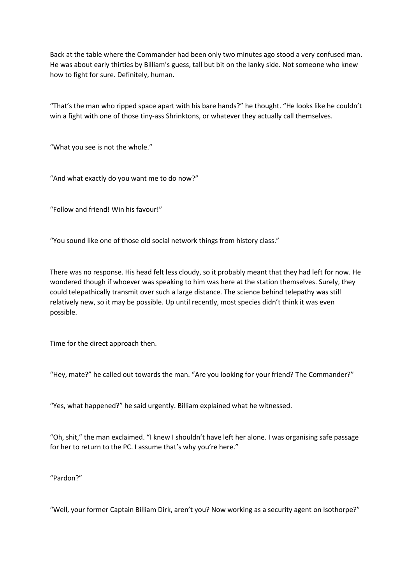Back at the table where the Commander had been only two minutes ago stood a very confused man. He was about early thirties by Billiam's guess, tall but bit on the lanky side. Not someone who knew how to fight for sure. Definitely, human.

"That's the man who ripped space apart with his bare hands?" he thought. "He looks like he couldn't win a fight with one of those tiny-ass Shrinktons, or whatever they actually call themselves.

"What you see is not the whole."

"And what exactly do you want me to do now?"

"Follow and friend! Win his favour!"

"You sound like one of those old social network things from history class."

There was no response. His head felt less cloudy, so it probably meant that they had left for now. He wondered though if whoever was speaking to him was here at the station themselves. Surely, they could telepathically transmit over such a large distance. The science behind telepathy was still relatively new, so it may be possible. Up until recently, most species didn't think it was even possible.

Time for the direct approach then.

"Hey, mate?" he called out towards the man. "Are you looking for your friend? The Commander?"

"Yes, what happened?" he said urgently. Billiam explained what he witnessed.

"Oh, shit," the man exclaimed. "I knew I shouldn't have left her alone. I was organising safe passage for her to return to the PC. I assume that's why you're here."

"Pardon?"

"Well, your former Captain Billiam Dirk, aren't you? Now working as a security agent on Isothorpe?"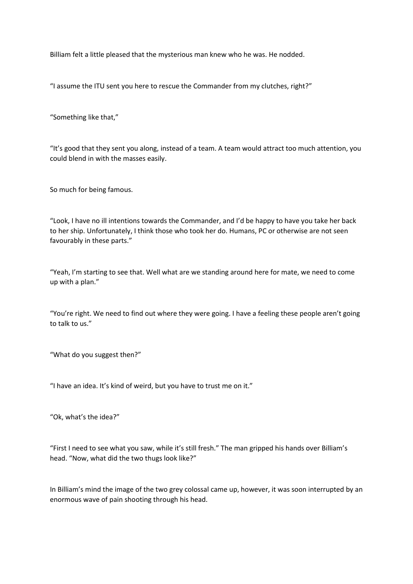Billiam felt a little pleased that the mysterious man knew who he was. He nodded.

"I assume the ITU sent you here to rescue the Commander from my clutches, right?"

"Something like that,"

"It's good that they sent you along, instead of a team. A team would attract too much attention, you could blend in with the masses easily.

So much for being famous.

"Look, I have no ill intentions towards the Commander, and I'd be happy to have you take her back to her ship. Unfortunately, I think those who took her do. Humans, PC or otherwise are not seen favourably in these parts."

"Yeah, I'm starting to see that. Well what are we standing around here for mate, we need to come up with a plan."

"You're right. We need to find out where they were going. I have a feeling these people aren't going to talk to us."

"What do you suggest then?"

"I have an idea. It's kind of weird, but you have to trust me on it."

"Ok, what's the idea?"

"First I need to see what you saw, while it's still fresh." The man gripped his hands over Billiam's head. "Now, what did the two thugs look like?"

In Billiam's mind the image of the two grey colossal came up, however, it was soon interrupted by an enormous wave of pain shooting through his head.